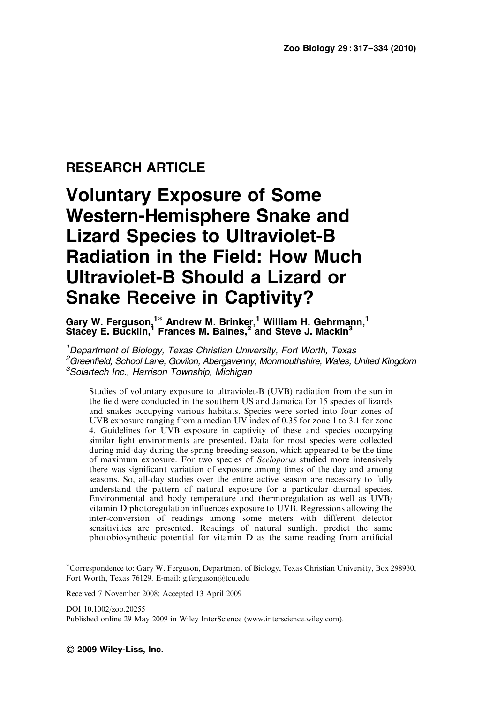## RESEARCH ARTICLE

# Voluntary Exposure of Some Western-Hemisphere Snake and Lizard Species to Ultraviolet-B Radiation in the Field: How Much Ultraviolet-B Should a Lizard or Snake Receive in Captivity?

Gary W. Ferguson,<sup>1\*</sup> Andrew M. Brinker,<sup>1</sup> William H. Gehrmann,<sup>1</sup> Stacey E. Bucklin,<sup>1</sup> Frances M. Baines,<sup>2</sup> and Steve J. Mackin<sup>3</sup>

<sup>1</sup>Department of Biology, Texas Christian University, Fort Worth, Texas <sup>2</sup> Greenfield, School Lane, Govilon, Abergavenny, Monmouthshire, Wales, United Kingdom <sup>3</sup>Solartech Inc., Harrison Township, Michigan

Studies of voluntary exposure to ultraviolet-B (UVB) radiation from the sun in the field were conducted in the southern US and Jamaica for 15 species of lizards and snakes occupying various habitats. Species were sorted into four zones of UVB exposure ranging from a median UV index of 0.35 for zone 1 to 3.1 for zone 4. Guidelines for UVB exposure in captivity of these and species occupying similar light environments are presented. Data for most species were collected during mid-day during the spring breeding season, which appeared to be the time of maximum exposure. For two species of Sceloporus studied more intensively there was significant variation of exposure among times of the day and among seasons. So, all-day studies over the entire active season are necessary to fully understand the pattern of natural exposure for a particular diurnal species. Environmental and body temperature and thermoregulation as well as UVB/ vitamin D photoregulation influences exposure to UVB. Regressions allowing the inter-conversion of readings among some meters with different detector sensitivities are presented. Readings of natural sunlight predict the same photobiosynthetic potential for vitamin D as the same reading from artificial

-Correspondence to: Gary W. Ferguson, Department of Biology, Texas Christian University, Box 298930, Fort Worth, Texas 76129. E-mail: g.ferguson@tcu.edu

Received 7 November 2008; Accepted 13 April 2009

DOI 10.1002/zoo.20255

Published online 29 May 2009 in Wiley InterScience (www.interscience.wiley.com).

 $©$  2009 Wiley-Liss, Inc.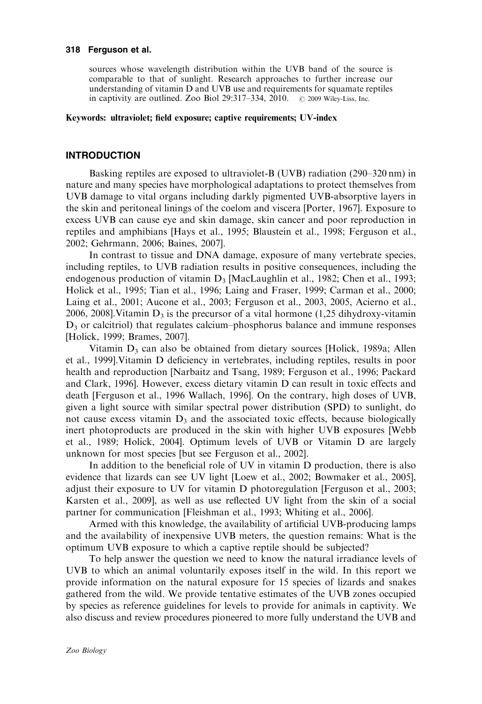### 318 Ferguson et al.

sources whose wavelength distribution within the UVB band of the source is comparable to that of sunlight. Research approaches to further increase our understanding of vitamin D and UVB use and requirements for squamate reptiles in captivity are outlined. Zoo Biol  $29:317-334$ ,  $2010$ .  $\odot$  2009 Wiley-Liss, Inc.

## Keywords: ultraviolet; field exposure; captive requirements; UV-index

## INTRODUCTION

Basking reptiles are exposed to ultraviolet-B (UVB) radiation (290–320 nm) in nature and many species have morphological adaptations to protect themselves from UVB damage to vital organs including darkly pigmented UVB-absorptive layers in the skin and peritoneal linings of the coelom and viscera [Porter, 1967]. Exposure to excess UVB can cause eye and skin damage, skin cancer and poor reproduction in reptiles and amphibians [Hays et al., 1995; Blaustein et al., 1998; Ferguson et al., 2002; Gehrmann, 2006; Baines, 2007].

In contrast to tissue and DNA damage, exposure of many vertebrate species, including reptiles, to UVB radiation results in positive consequences, including the endogenous production of vitamin  $D_3$  [MacLaughlin et al., 1982; Chen et al., 1993; Holick et al., 1995; Tian et al., 1996; Laing and Fraser, 1999; Carman et al., 2000; Laing et al., 2001; Aucone et al., 2003; Ferguson et al., 2003, 2005, Acierno et al., 2006, 2008]. Vitamin  $D_3$  is the precursor of a vital hormone (1,25 dihydroxy-vitamin  $D_3$  or calcitriol) that regulates calcium–phosphorus balance and immune responses [Holick, 1999; Brames, 2007].

Vitamin  $D_3$  can also be obtained from dietary sources [Holick, 1989a; Allen et al., 1999].Vitamin D deficiency in vertebrates, including reptiles, results in poor health and reproduction [Narbaitz and Tsang, 1989; Ferguson et al., 1996; Packard and Clark, 1996]. However, excess dietary vitamin D can result in toxic effects and death [Ferguson et al., 1996 Wallach, 1996]. On the contrary, high doses of UVB, given a light source with similar spectral power distribution (SPD) to sunlight, do not cause excess vitamin  $D_3$  and the associated toxic effects, because biologically inert photoproducts are produced in the skin with higher UVB exposures [Webb et al., 1989; Holick, 2004]. Optimum levels of UVB or Vitamin D are largely unknown for most species [but see Ferguson et al., 2002].

In addition to the beneficial role of UV in vitamin D production, there is also evidence that lizards can see UV light [Loew et al., 2002; Bowmaker et al., 2005], adjust their exposure to UV for vitamin D photoregulation [Ferguson et al., 2003; Karsten et al., 2009], as well as use reflected UV light from the skin of a social partner for communication [Fleishman et al., 1993; Whiting et al., 2006].

Armed with this knowledge, the availability of artificial UVB-producing lamps and the availability of inexpensive UVB meters, the question remains: What is the optimum UVB exposure to which a captive reptile should be subjected?

To help answer the question we need to know the natural irradiance levels of UVB to which an animal voluntarily exposes itself in the wild. In this report we provide information on the natural exposure for 15 species of lizards and snakes gathered from the wild. We provide tentative estimates of the UVB zones occupied by species as reference guidelines for levels to provide for animals in captivity. We also discuss and review procedures pioneered to more fully understand the UVB and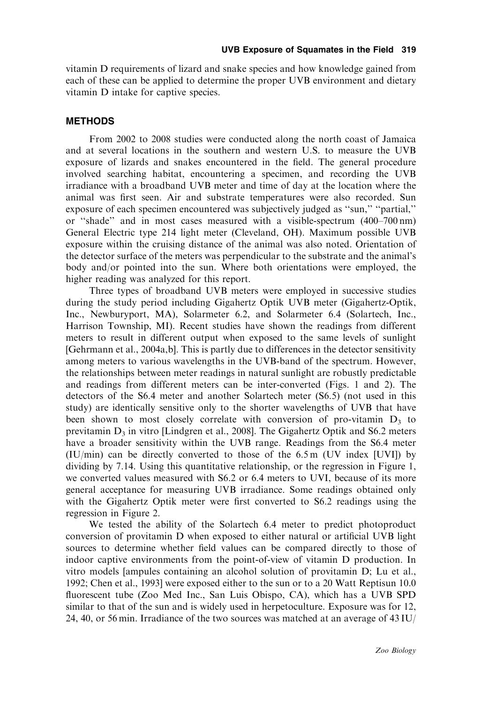vitamin D requirements of lizard and snake species and how knowledge gained from each of these can be applied to determine the proper UVB environment and dietary vitamin D intake for captive species.

## METHODS

From 2002 to 2008 studies were conducted along the north coast of Jamaica and at several locations in the southern and western U.S. to measure the UVB exposure of lizards and snakes encountered in the field. The general procedure involved searching habitat, encountering a specimen, and recording the UVB irradiance with a broadband UVB meter and time of day at the location where the animal was first seen. Air and substrate temperatures were also recorded. Sun exposure of each specimen encountered was subjectively judged as ''sun,'' ''partial,'' or ''shade'' and in most cases measured with a visible-spectrum (400–700 nm) General Electric type 214 light meter (Cleveland, OH). Maximum possible UVB exposure within the cruising distance of the animal was also noted. Orientation of the detector surface of the meters was perpendicular to the substrate and the animal's body and/or pointed into the sun. Where both orientations were employed, the higher reading was analyzed for this report.

Three types of broadband UVB meters were employed in successive studies during the study period including Gigahertz Optik UVB meter (Gigahertz-Optik, Inc., Newburyport, MA), Solarmeter 6.2, and Solarmeter 6.4 (Solartech, Inc., Harrison Township, MI). Recent studies have shown the readings from different meters to result in different output when exposed to the same levels of sunlight [Gehrmann et al., 2004a,b]. This is partly due to differences in the detector sensitivity among meters to various wavelengths in the UVB-band of the spectrum. However, the relationships between meter readings in natural sunlight are robustly predictable and readings from different meters can be inter-converted (Figs. 1 and 2). The detectors of the S6.4 meter and another Solartech meter (S6.5) (not used in this study) are identically sensitive only to the shorter wavelengths of UVB that have been shown to most closely correlate with conversion of pro-vitamin  $D_3$  to previtamin  $D_3$  in vitro [Lindgren et al., 2008]. The Gigahertz Optik and S6.2 meters have a broader sensitivity within the UVB range. Readings from the S6.4 meter (IU/min) can be directly converted to those of the 6.5 m (UV index [UVI]) by dividing by 7.14. Using this quantitative relationship, or the regression in Figure 1, we converted values measured with S6.2 or 6.4 meters to UVI, because of its more general acceptance for measuring UVB irradiance. Some readings obtained only with the Gigahertz Optik meter were first converted to S6.2 readings using the regression in Figure 2.

We tested the ability of the Solartech 6.4 meter to predict photoproduct conversion of provitamin D when exposed to either natural or artificial UVB light sources to determine whether field values can be compared directly to those of indoor captive environments from the point-of-view of vitamin D production. In vitro models [ampules containing an alcohol solution of provitamin D; Lu et al., 1992; Chen et al., 1993] were exposed either to the sun or to a 20 Watt Reptisun 10.0 fluorescent tube (Zoo Med Inc., San Luis Obispo, CA), which has a UVB SPD similar to that of the sun and is widely used in herpetoculture. Exposure was for 12, 24, 40, or 56 min. Irradiance of the two sources was matched at an average of 43 IU/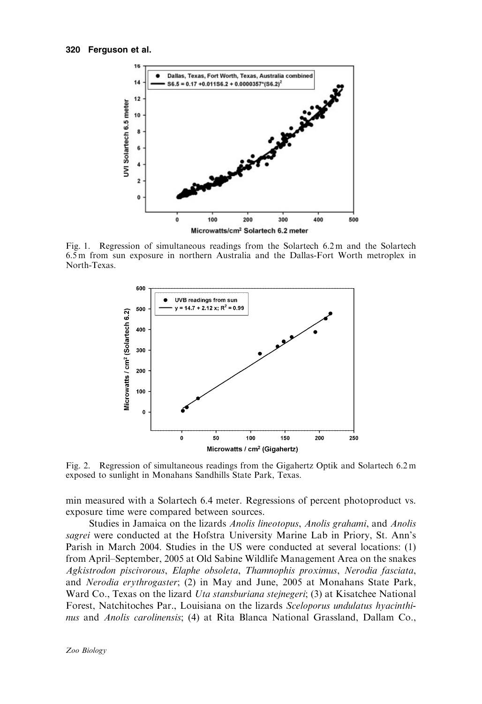![](_page_3_Figure_1.jpeg)

Fig. 1. Regression of simultaneous readings from the Solartech 6.2 m and the Solartech 6.5 m from sun exposure in northern Australia and the Dallas-Fort Worth metroplex in North-Texas.

![](_page_3_Figure_3.jpeg)

Fig. 2. Regression of simultaneous readings from the Gigahertz Optik and Solartech 6.2 m exposed to sunlight in Monahans Sandhills State Park, Texas.

min measured with a Solartech 6.4 meter. Regressions of percent photoproduct vs. exposure time were compared between sources.

Studies in Jamaica on the lizards Anolis lineotopus, Anolis grahami, and Anolis sagrei were conducted at the Hofstra University Marine Lab in Priory, St. Ann's Parish in March 2004. Studies in the US were conducted at several locations: (1) from April–September, 2005 at Old Sabine Wildlife Management Area on the snakes Agkistrodon piscivorous, Elaphe obsoleta, Thamnophis proximus, Nerodia fasciata, and Nerodia erythrogaster; (2) in May and June, 2005 at Monahans State Park, Ward Co., Texas on the lizard *Uta stansburiana stejnegeri*; (3) at Kisatchee National Forest, Natchitoches Par., Louisiana on the lizards Sceloporus undulatus hyacinthinus and Anolis carolinensis; (4) at Rita Blanca National Grassland, Dallam Co.,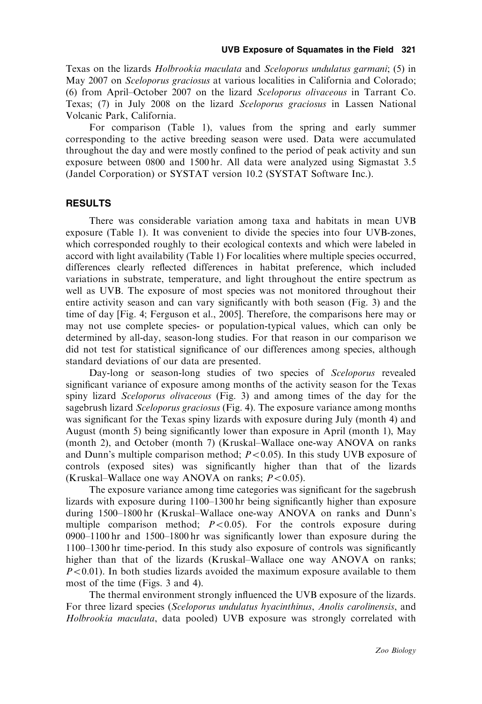### UVB Exposure of Squamates in the Field 321

Texas on the lizards Holbrookia maculata and Sceloporus undulatus garmani; (5) in May 2007 on Sceloporus graciosus at various localities in California and Colorado; (6) from April–October 2007 on the lizard Sceloporus olivaceous in Tarrant Co. Texas; (7) in July 2008 on the lizard Sceloporus graciosus in Lassen National Volcanic Park, California.

For comparison (Table 1), values from the spring and early summer corresponding to the active breeding season were used. Data were accumulated throughout the day and were mostly confined to the period of peak activity and sun exposure between 0800 and 1500 hr. All data were analyzed using Sigmastat 3.5 (Jandel Corporation) or SYSTAT version 10.2 (SYSTAT Software Inc.).

## RESULTS

There was considerable variation among taxa and habitats in mean UVB exposure (Table 1). It was convenient to divide the species into four UVB-zones, which corresponded roughly to their ecological contexts and which were labeled in accord with light availability (Table 1) For localities where multiple species occurred, differences clearly reflected differences in habitat preference, which included variations in substrate, temperature, and light throughout the entire spectrum as well as UVB. The exposure of most species was not monitored throughout their entire activity season and can vary significantly with both season (Fig. 3) and the time of day [Fig. 4; Ferguson et al., 2005]. Therefore, the comparisons here may or may not use complete species- or population-typical values, which can only be determined by all-day, season-long studies. For that reason in our comparison we did not test for statistical significance of our differences among species, although standard deviations of our data are presented.

Day-long or season-long studies of two species of *Sceloporus* revealed significant variance of exposure among months of the activity season for the Texas spiny lizard *Sceloporus olivaceous* (Fig. 3) and among times of the day for the sagebrush lizard Sceloporus graciosus (Fig. 4). The exposure variance among months was significant for the Texas spiny lizards with exposure during July (month 4) and August (month 5) being significantly lower than exposure in April (month 1), May (month 2), and October (month 7) (Kruskal–Wallace one-way ANOVA on ranks and Dunn's multiple comparison method;  $P < 0.05$ ). In this study UVB exposure of controls (exposed sites) was significantly higher than that of the lizards (Kruskal–Wallace one way ANOVA on ranks;  $P < 0.05$ ).

The exposure variance among time categories was significant for the sagebrush lizards with exposure during 1100–1300 hr being significantly higher than exposure during 1500–1800 hr (Kruskal–Wallace one-way ANOVA on ranks and Dunn's multiple comparison method;  $P < 0.05$ ). For the controls exposure during 0900–1100 hr and 1500–1800 hr was significantly lower than exposure during the 1100–1300 hr time-period. In this study also exposure of controls was significantly higher than that of the lizards (Kruskal–Wallace one way ANOVA on ranks;  $P<0.01$ ). In both studies lizards avoided the maximum exposure available to them most of the time (Figs. 3 and 4).

The thermal environment strongly influenced the UVB exposure of the lizards. For three lizard species (Sceloporus undulatus hyacinthinus, Anolis carolinensis, and Holbrookia maculata, data pooled) UVB exposure was strongly correlated with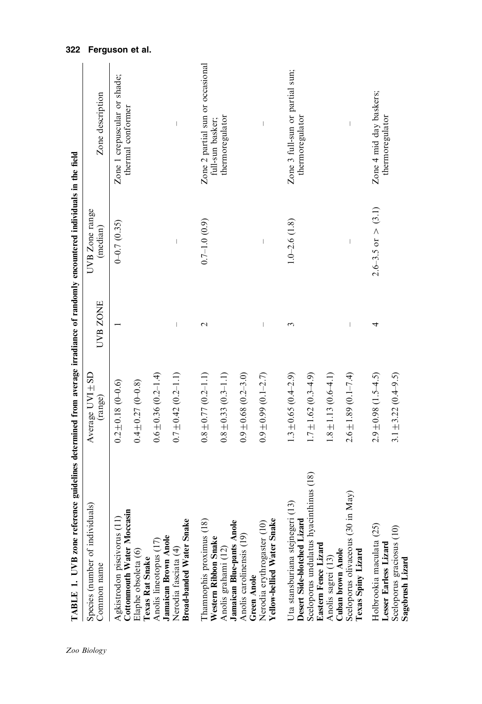| TABLE 1. UVB zone reference                                                  | guidelines determined from average irradiance of randomly encountered individuals in the field |                          |                            |                                     |
|------------------------------------------------------------------------------|------------------------------------------------------------------------------------------------|--------------------------|----------------------------|-------------------------------------|
| Species (number of individuals)<br>Common name                               | Average $UVI + SD$<br>(range)                                                                  | UVB ZONE                 | UVB Zone range<br>(median) | Zone description                    |
| Agkistrodon piscivorus (11                                                   | $0.2 \pm 0.18$ (0-0.6)                                                                         |                          | $0 - 0.7$ $(0.35)$         | Zone 1 crepuscular or shade;        |
| Cottonmouth Water Moccasin<br>Elaphe obsoleta (6)                            | $0.4 \pm 0.27$ (0-0.8)                                                                         |                          |                            | thermal conformer                   |
| Anolis lineotopus (17)<br>Texas Rat Snake                                    | $0.6 \pm 0.36$ (0.2-1.4)                                                                       |                          |                            |                                     |
| Broad-banded Water Snake<br>Jamaican Brown Anole<br>Nerodia fasciata (4)     | $0.7 \pm 0.42$ (0.2-1.1)                                                                       | $\overline{\phantom{a}}$ | $\vert$                    | $\vert$                             |
| Thamnophis proximus (18)                                                     | $0.8 \pm 0.77$ (0.2-1.1)                                                                       | $\mathcal{L}$            | $0.7 - 1.0(0.9)$           | Zone 2 partial sun or occasional    |
| Western Ribbon Snake<br>Anolis grahami (12)                                  | $0.8 \pm 0.33$ (0.3-1.1)                                                                       |                          |                            | thermoregulator<br>full-sun basker; |
| Jamaican Blue-pants Anole<br>Anolis carolinensis (19)                        | $0.9 \pm 0.68$ (0.2-3.0)                                                                       |                          |                            |                                     |
| Yellow-bellied Water Snake<br>Nerodia erythrogaster (10)<br>Green Anole      | $0.9 \pm 0.99$ (0.1-2.7)                                                                       |                          | $\vert$                    | $\mid$                              |
| Uta stansburiana stejnegeri (13)                                             | $1.3 \pm 0.65$ (0.4-2.9)                                                                       | ξ                        | $1.0 - 2.6$ (1.8)          | Zone 3 full-sun or partial sun;     |
| Sceloporus undulatus hyacinthinus (18)<br>Desert Side-blotched Lizard        | $1.7 \pm 1.62 (0.3 - 4.9)$                                                                     |                          |                            | thermoregulator                     |
| Eastern Fence Lizard<br>Anolis sagrei (13)                                   | $1.8 \pm 1.13$ (0.6-4.1)                                                                       |                          |                            |                                     |
| Sceloporus olivaceous (30 in May)<br>Cuban brown Anole<br>Texas Spiny Lizard | $2.6 \pm 1.89$ (0.1-7.4)                                                                       |                          | $\overline{\phantom{a}}$   | $\mid$                              |
| Holbrookia maculata (25)<br>Lesser Earless Lizard                            | $2.9 \pm 0.98$ (1.5-4.5)                                                                       | 4                        | $2.6 - 3.5$ or $>$ (3.1)   | Zone 4 mid day baskers;             |
| Sceloporus graciosus (10)<br>Sagebrush Lizard                                | $3.1 \pm 3.22 (0.4 - 9.5)$                                                                     |                          |                            | thermoregulator                     |

## 322 Ferguson et al.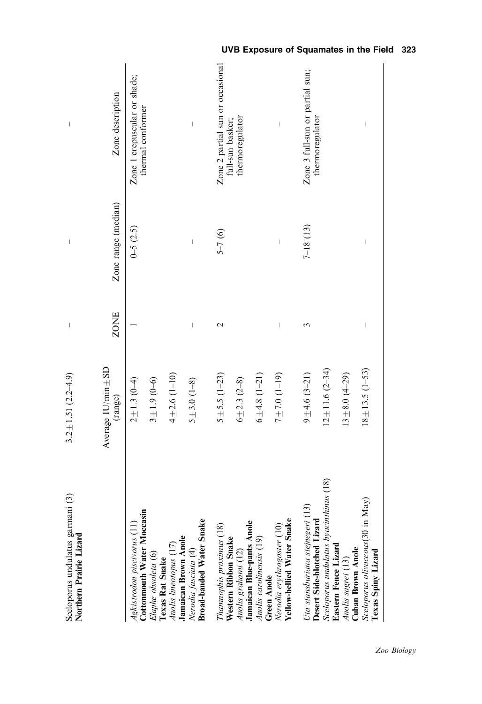| Sceloporus undulatus garmani (3)<br>Northern Prairie Lizard                                      | $3.2 \pm 1.51$ (2.2-4.9)       |             | $\overline{\phantom{a}}$ | $\overline{\phantom{a}}$            |
|--------------------------------------------------------------------------------------------------|--------------------------------|-------------|--------------------------|-------------------------------------|
|                                                                                                  | Average IU/min ± SD<br>(range) | ZONE        | Zone range (median)      | Zone description                    |
| Agkistrodon piscivorus (1                                                                        | $2 \pm 1.3$ (0-4)              |             | $0 - 5$ (2.5)            | Zone 1 crepuscular or shade;        |
| Cottonmouth Water Moccasin<br>Elaphe obsoleta (6)                                                | $3 \pm 1.9$ (0-6)              |             |                          | thermal conformer                   |
| Anolis lineotopus (17)<br><b>Texas Rat Snake</b>                                                 | $4 \pm 2.6$ (1-10)             |             |                          |                                     |
| Broad-banded Water Snake<br>Jamaican Brown Anole<br>Nerodia fasciata (4)                         | $5 \pm 3.0 (1 - 8)$            |             |                          | $\mid$                              |
| Thamnophis proximus (18)                                                                         | $5 \pm 5.5 (1 - 23)$           | $\mathbf 2$ | $5 - 7(6)$               | Zone 2 partial sun or occasional    |
| Anolis grahami (12)<br>Jamaican Blue-pants Anole<br>Western Ribbon Snake                         | $6 + 2.3$ (2-8)                |             |                          | thermoregulator<br>full-sun basker; |
| Anolis carolinensis (19)                                                                         | $6 \pm 4.8$ (1-21)             |             |                          |                                     |
| Yellow-bellied Water Snake<br>Nerodia erythrogaster (10)<br>Green Anole                          | $7 \pm 7.0$ (1-19)             |             |                          | $\bigg $                            |
| Uta stansburiana stejnegeri (13)                                                                 | $9 \pm 4.6 (3 - 21)$           | 3           | $7-18(13)$               | Zone 3 full-sun or partial sun;     |
| $\left( \frac{8}{2} \right)$<br>Sceloporus undulatus hyacinthinus<br>Desert Side-blotched Lizard | $12 \pm 11.6$ (2-34)           |             |                          | thermoregulator                     |
| Eastern Fence Lizard<br>Cuban Brown Anole<br>Anolis sagrei (13)                                  | $13 \pm 8.0$ (4-29)            |             |                          |                                     |
| Sceloporus olivaceous(30 in May)<br>Texas Spiny Lizard                                           | $18 \pm 13.5 (1 - 53)$         |             | I                        | I                                   |

 $3.2 \pm 1.51$  (2.2-4.9)

UVB Exposure of Squamates in the Field 323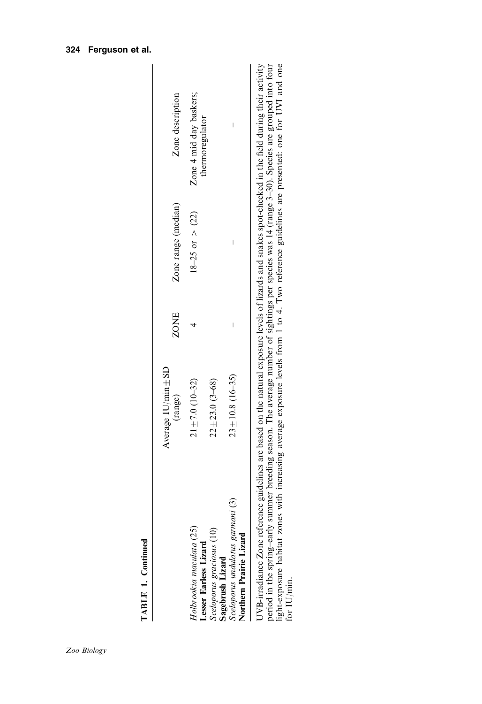| <b>TABLE 1. Continued</b>                                                       |                               |             |                     |                                                                                                                           |
|---------------------------------------------------------------------------------|-------------------------------|-------------|---------------------|---------------------------------------------------------------------------------------------------------------------------|
|                                                                                 | Average IU/min ±SD<br>(range) | <b>ZONE</b> | Zone range (median) | Zone description                                                                                                          |
| Holbrookia maculata (25)                                                        | $21 \pm 7.0$ (10-32)          |             | $18-25$ or $>$ (22) | Zone 4 mid day baskers;                                                                                                   |
| Sceloporus graciosus (10)<br>Lesser Earless Lizard                              | $22 + 23.0(3 - 68)$           |             |                     | thermoregulator                                                                                                           |
| Sceloporus undulatus garmani (3)<br>Northern Prairie Lizard<br>Sagebrush Lizard | $23 \pm 10.8$ (16-35)         | I           |                     |                                                                                                                           |
| UVB-irradiance Zone reference                                                   |                               |             |                     | guidelines are based on the natural exposure levels of lizards and snakes spot-checked in the field during their activity |

 $\overline{1}$   $\overline{2}$ period in the spring-early summer breeding season. The average number of sightings per species was 14 (range 3-30). Species are grouped into four period in the spring–early summer breeding season. The average number of signtings per species was 14 (range 3–30). Species are grouped into four<br>light-exposure habitat zones with increasing average exposure levels from 1 period in the spring–early summer breeding season. The average number of sightings per species was 14 (range 3–30). Species are grouped into four light-exposure habitat zones with increasing average exposure levels from 1 to 4. Two reference guidelines are presented: one for UVI and one for IU/min.

## 324 Ferguson et al.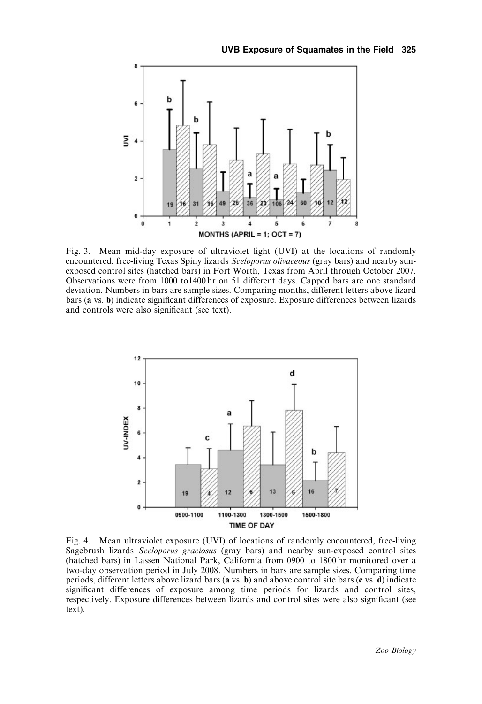![](_page_8_Figure_1.jpeg)

Fig. 3. Mean mid-day exposure of ultraviolet light (UVI) at the locations of randomly encountered, free-living Texas Spiny lizards Sceloporus olivaceous (gray bars) and nearby sunexposed control sites (hatched bars) in Fort Worth, Texas from April through October 2007. Observations were from 1000 to1400 hr on 51 different days. Capped bars are one standard deviation. Numbers in bars are sample sizes. Comparing months, different letters above lizard bars (a vs. b) indicate significant differences of exposure. Exposure differences between lizards and controls were also significant (see text).

![](_page_8_Figure_3.jpeg)

Fig. 4. Mean ultraviolet exposure (UVI) of locations of randomly encountered, free-living Sagebrush lizards Sceloporus graciosus (gray bars) and nearby sun-exposed control sites (hatched bars) in Lassen National Park, California from 0900 to 1800 hr monitored over a two-day observation period in July 2008. Numbers in bars are sample sizes. Comparing time periods, different letters above lizard bars (a vs. b) and above control site bars (c vs. d) indicate significant differences of exposure among time periods for lizards and control sites, respectively. Exposure differences between lizards and control sites were also significant (see text).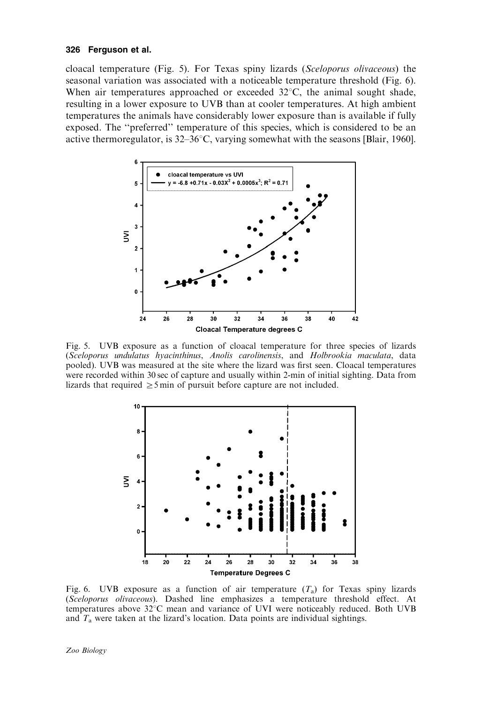cloacal temperature (Fig. 5). For Texas spiny lizards (Sceloporus olivaceous) the seasonal variation was associated with a noticeable temperature threshold (Fig. 6). When air temperatures approached or exceeded  $32^{\circ}$ C, the animal sought shade, resulting in a lower exposure to UVB than at cooler temperatures. At high ambient temperatures the animals have considerably lower exposure than is available if fully exposed. The ''preferred'' temperature of this species, which is considered to be an active thermoregulator, is  $32-36^{\circ}\text{C}$ , varying somewhat with the seasons [Blair, 1960].

![](_page_9_Figure_2.jpeg)

Fig. 5. UVB exposure as a function of cloacal temperature for three species of lizards (Sceloporus undulatus hyacinthinus, Anolis carolinensis, and Holbrookia maculata, data pooled). UVB was measured at the site where the lizard was first seen. Cloacal temperatures were recorded within 30 sec of capture and usually within 2-min of initial sighting. Data from lizards that required  $\geq$ 5 min of pursuit before capture are not included.

![](_page_9_Figure_4.jpeg)

Fig. 6. UVB exposure as a function of air temperature  $(T_a)$  for Texas spiny lizards (Sceloporus olivaceous). Dashed line emphasizes a temperature threshold effect. At temperatures above  $32^{\circ}$ C mean and variance of UVI were noticeably reduced. Both UVB and  $T_a$  were taken at the lizard's location. Data points are individual sightings.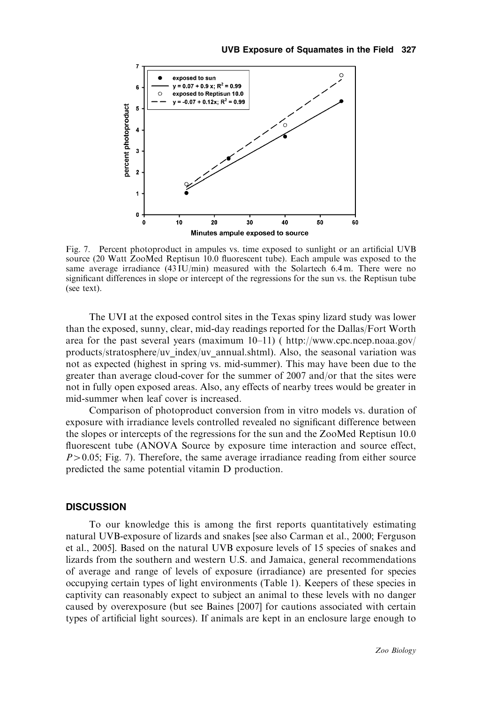![](_page_10_Figure_1.jpeg)

Fig. 7. Percent photoproduct in ampules vs. time exposed to sunlight or an artificial UVB source (20 Watt ZooMed Reptisun 10.0 fluorescent tube). Each ampule was exposed to the same average irradiance  $(43 \text{ IU/min})$  measured with the Solartech 6.4 m. There were no significant differences in slope or intercept of the regressions for the sun vs. the Reptisun tube (see text).

The UVI at the exposed control sites in the Texas spiny lizard study was lower than the exposed, sunny, clear, mid-day readings reported for the Dallas/Fort Worth area for the past several years (maximum 10–11) ( http://www.cpc.ncep.noaa.gov/ products/stratosphere/uv\_index/uv\_annual.shtml). Also, the seasonal variation was not as expected (highest in spring vs. mid-summer). This may have been due to the greater than average cloud-cover for the summer of 2007 and/or that the sites were not in fully open exposed areas. Also, any effects of nearby trees would be greater in mid-summer when leaf cover is increased.

Comparison of photoproduct conversion from in vitro models vs. duration of exposure with irradiance levels controlled revealed no significant difference between the slopes or intercepts of the regressions for the sun and the ZooMed Reptisun 10.0 fluorescent tube (ANOVA Source by exposure time interaction and source effect,  $P > 0.05$ ; Fig. 7). Therefore, the same average irradiance reading from either source predicted the same potential vitamin D production.

## **DISCUSSION**

To our knowledge this is among the first reports quantitatively estimating natural UVB-exposure of lizards and snakes [see also Carman et al., 2000; Ferguson et al., 2005]. Based on the natural UVB exposure levels of 15 species of snakes and lizards from the southern and western U.S. and Jamaica, general recommendations of average and range of levels of exposure (irradiance) are presented for species occupying certain types of light environments (Table 1). Keepers of these species in captivity can reasonably expect to subject an animal to these levels with no danger caused by overexposure (but see Baines [2007] for cautions associated with certain types of artificial light sources). If animals are kept in an enclosure large enough to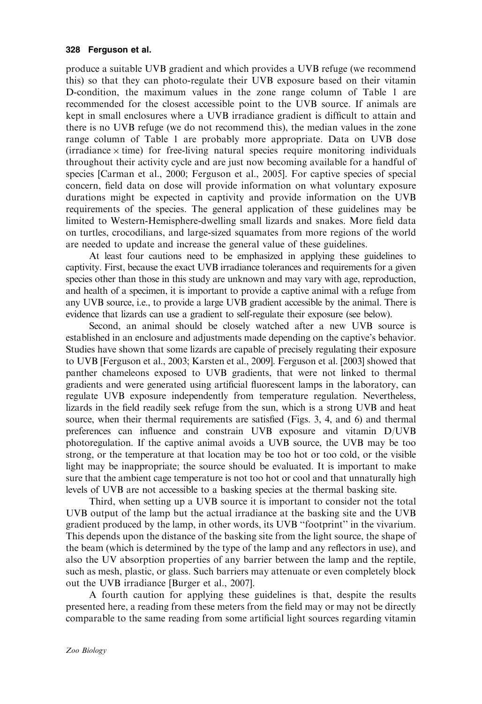produce a suitable UVB gradient and which provides a UVB refuge (we recommend this) so that they can photo-regulate their UVB exposure based on their vitamin D-condition, the maximum values in the zone range column of Table 1 are recommended for the closest accessible point to the UVB source. If animals are kept in small enclosures where a UVB irradiance gradient is difficult to attain and there is no UVB refuge (we do not recommend this), the median values in the zone range column of Table 1 are probably more appropriate. Data on UVB dose  $(irradiance \times time)$  for free-living natural species require monitoring individuals throughout their activity cycle and are just now becoming available for a handful of species [Carman et al., 2000; Ferguson et al., 2005]. For captive species of special concern, field data on dose will provide information on what voluntary exposure durations might be expected in captivity and provide information on the UVB requirements of the species. The general application of these guidelines may be limited to Western-Hemisphere-dwelling small lizards and snakes. More field data on turtles, crocodilians, and large-sized squamates from more regions of the world are needed to update and increase the general value of these guidelines.

At least four cautions need to be emphasized in applying these guidelines to captivity. First, because the exact UVB irradiance tolerances and requirements for a given species other than those in this study are unknown and may vary with age, reproduction, and health of a specimen, it is important to provide a captive animal with a refuge from any UVB source, i.e., to provide a large UVB gradient accessible by the animal. There is evidence that lizards can use a gradient to self-regulate their exposure (see below).

Second, an animal should be closely watched after a new UVB source is established in an enclosure and adjustments made depending on the captive's behavior. Studies have shown that some lizards are capable of precisely regulating their exposure to UVB [Ferguson et al., 2003; Karsten et al., 2009]. Ferguson et al. [2003] showed that panther chameleons exposed to UVB gradients, that were not linked to thermal gradients and were generated using artificial fluorescent lamps in the laboratory, can regulate UVB exposure independently from temperature regulation. Nevertheless, lizards in the field readily seek refuge from the sun, which is a strong UVB and heat source, when their thermal requirements are satisfied (Figs. 3, 4, and 6) and thermal preferences can influence and constrain UVB exposure and vitamin D/UVB photoregulation. If the captive animal avoids a UVB source, the UVB may be too strong, or the temperature at that location may be too hot or too cold, or the visible light may be inappropriate; the source should be evaluated. It is important to make sure that the ambient cage temperature is not too hot or cool and that unnaturally high levels of UVB are not accessible to a basking species at the thermal basking site.

Third, when setting up a UVB source it is important to consider not the total UVB output of the lamp but the actual irradiance at the basking site and the UVB gradient produced by the lamp, in other words, its UVB ''footprint'' in the vivarium. This depends upon the distance of the basking site from the light source, the shape of the beam (which is determined by the type of the lamp and any reflectors in use), and also the UV absorption properties of any barrier between the lamp and the reptile, such as mesh, plastic, or glass. Such barriers may attenuate or even completely block out the UVB irradiance [Burger et al., 2007].

A fourth caution for applying these guidelines is that, despite the results presented here, a reading from these meters from the field may or may not be directly comparable to the same reading from some artificial light sources regarding vitamin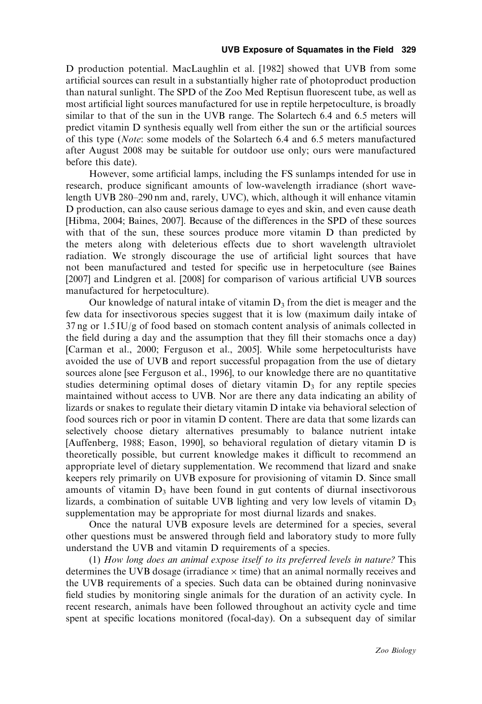D production potential. MacLaughlin et al. [1982] showed that UVB from some artificial sources can result in a substantially higher rate of photoproduct production than natural sunlight. The SPD of the Zoo Med Reptisun fluorescent tube, as well as most artificial light sources manufactured for use in reptile herpetoculture, is broadly similar to that of the sun in the UVB range. The Solartech 6.4 and 6.5 meters will predict vitamin D synthesis equally well from either the sun or the artificial sources of this type (Note: some models of the Solartech 6.4 and 6.5 meters manufactured after August 2008 may be suitable for outdoor use only; ours were manufactured before this date).

However, some artificial lamps, including the FS sunlamps intended for use in research, produce significant amounts of low-wavelength irradiance (short wavelength UVB 280–290 nm and, rarely, UVC), which, although it will enhance vitamin D production, can also cause serious damage to eyes and skin, and even cause death [Hibma, 2004; Baines, 2007]. Because of the differences in the SPD of these sources with that of the sun, these sources produce more vitamin D than predicted by the meters along with deleterious effects due to short wavelength ultraviolet radiation. We strongly discourage the use of artificial light sources that have not been manufactured and tested for specific use in herpetoculture (see Baines [2007] and Lindgren et al. [2008] for comparison of various artificial UVB sources manufactured for herpetoculture).

Our knowledge of natural intake of vitamin  $D_3$  from the diet is meager and the few data for insectivorous species suggest that it is low (maximum daily intake of 37 ng or 1.5 IU/g of food based on stomach content analysis of animals collected in the field during a day and the assumption that they fill their stomachs once a day) [Carman et al., 2000; Ferguson et al., 2005]. While some herpetoculturists have avoided the use of UVB and report successful propagation from the use of dietary sources alone [see Ferguson et al., 1996], to our knowledge there are no quantitative studies determining optimal doses of dietary vitamin  $D_3$  for any reptile species maintained without access to UVB. Nor are there any data indicating an ability of lizards or snakes to regulate their dietary vitamin D intake via behavioral selection of food sources rich or poor in vitamin D content. There are data that some lizards can selectively choose dietary alternatives presumably to balance nutrient intake [Auffenberg, 1988; Eason, 1990], so behavioral regulation of dietary vitamin D is theoretically possible, but current knowledge makes it difficult to recommend an appropriate level of dietary supplementation. We recommend that lizard and snake keepers rely primarily on UVB exposure for provisioning of vitamin D. Since small amounts of vitamin  $D_3$  have been found in gut contents of diurnal insectivorous lizards, a combination of suitable UVB lighting and very low levels of vitamin  $D_3$ supplementation may be appropriate for most diurnal lizards and snakes.

Once the natural UVB exposure levels are determined for a species, several other questions must be answered through field and laboratory study to more fully understand the UVB and vitamin D requirements of a species.

(1) How long does an animal expose itself to its preferred levels in nature? This determines the UVB dosage (irradiance  $\times$  time) that an animal normally receives and the UVB requirements of a species. Such data can be obtained during noninvasive field studies by monitoring single animals for the duration of an activity cycle. In recent research, animals have been followed throughout an activity cycle and time spent at specific locations monitored (focal-day). On a subsequent day of similar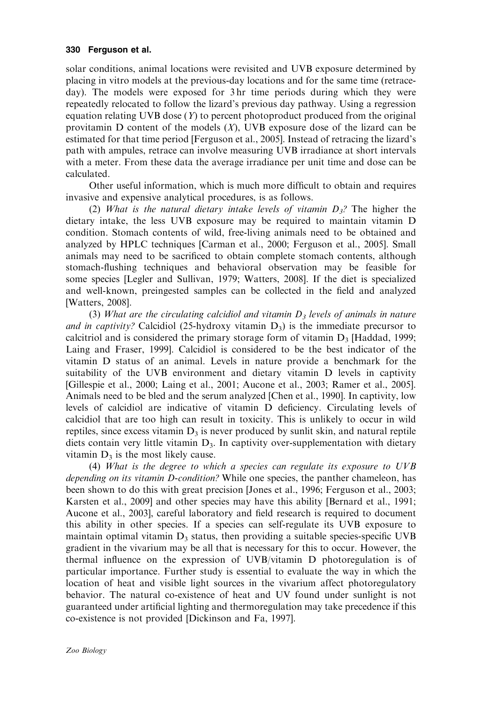solar conditions, animal locations were revisited and UVB exposure determined by placing in vitro models at the previous-day locations and for the same time (retraceday). The models were exposed for 3 hr time periods during which they were repeatedly relocated to follow the lizard's previous day pathway. Using a regression equation relating UVB dose  $(Y)$  to percent photoproduct produced from the original provitamin D content of the models  $(X)$ , UVB exposure dose of the lizard can be estimated for that time period [Ferguson et al., 2005]. Instead of retracing the lizard's path with ampules, retrace can involve measuring UVB irradiance at short intervals with a meter. From these data the average irradiance per unit time and dose can be calculated.

Other useful information, which is much more difficult to obtain and requires invasive and expensive analytical procedures, is as follows.

(2) What is the natural dietary intake levels of vitamin  $D_3$ ? The higher the dietary intake, the less UVB exposure may be required to maintain vitamin D condition. Stomach contents of wild, free-living animals need to be obtained and analyzed by HPLC techniques [Carman et al., 2000; Ferguson et al., 2005]. Small animals may need to be sacrificed to obtain complete stomach contents, although stomach-flushing techniques and behavioral observation may be feasible for some species [Legler and Sullivan, 1979; Watters, 2008]. If the diet is specialized and well-known, preingested samples can be collected in the field and analyzed [Watters, 2008].

(3) What are the circulating calcidiol and vitamin  $D_3$  levels of animals in nature and in captivity? Calcidiol (25-hydroxy vitamin  $D_3$ ) is the immediate precursor to calcitriol and is considered the primary storage form of vitamin  $D_3$  [Haddad, 1999; Laing and Fraser, 1999]. Calcidiol is considered to be the best indicator of the vitamin D status of an animal. Levels in nature provide a benchmark for the suitability of the UVB environment and dietary vitamin D levels in captivity [Gillespie et al., 2000; Laing et al., 2001; Aucone et al., 2003; Ramer et al., 2005]. Animals need to be bled and the serum analyzed [Chen et al., 1990]. In captivity, low levels of calcidiol are indicative of vitamin D deficiency. Circulating levels of calcidiol that are too high can result in toxicity. This is unlikely to occur in wild reptiles, since excess vitamin  $D_3$  is never produced by sunlit skin, and natural reptile diets contain very little vitamin  $D_3$ . In captivity over-supplementation with dietary vitamin  $D_3$  is the most likely cause.

(4) What is the degree to which a species can regulate its exposure to UVB depending on its vitamin D-condition? While one species, the panther chameleon, has been shown to do this with great precision [Jones et al., 1996; Ferguson et al., 2003; Karsten et al., 2009] and other species may have this ability [Bernard et al., 1991; Aucone et al., 2003], careful laboratory and field research is required to document this ability in other species. If a species can self-regulate its UVB exposure to maintain optimal vitamin  $D_3$  status, then providing a suitable species-specific UVB gradient in the vivarium may be all that is necessary for this to occur. However, the thermal influence on the expression of UVB/vitamin D photoregulation is of particular importance. Further study is essential to evaluate the way in which the location of heat and visible light sources in the vivarium affect photoregulatory behavior. The natural co-existence of heat and UV found under sunlight is not guaranteed under artificial lighting and thermoregulation may take precedence if this co-existence is not provided [Dickinson and Fa, 1997].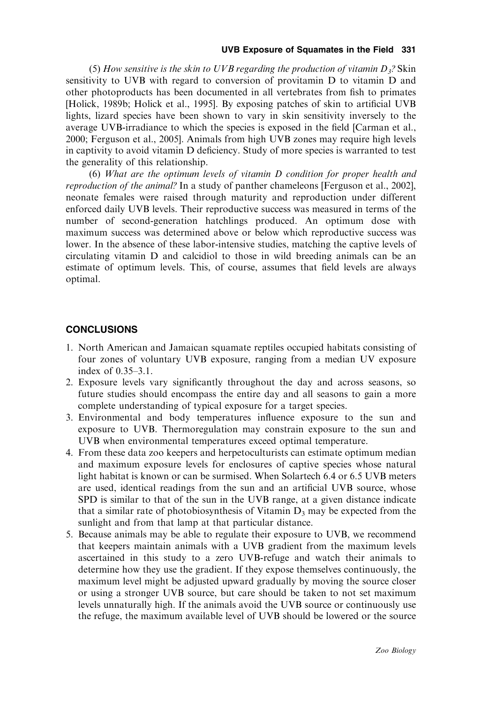## UVB Exposure of Squamates in the Field 331

(5) How sensitive is the skin to UVB regarding the production of vitamin  $D_3$ ? Skin sensitivity to UVB with regard to conversion of provitamin D to vitamin D and other photoproducts has been documented in all vertebrates from fish to primates [Holick, 1989b; Holick et al., 1995]. By exposing patches of skin to artificial UVB lights, lizard species have been shown to vary in skin sensitivity inversely to the average UVB-irradiance to which the species is exposed in the field [Carman et al., 2000; Ferguson et al., 2005]. Animals from high UVB zones may require high levels in captivity to avoid vitamin D deficiency. Study of more species is warranted to test the generality of this relationship.

(6) What are the optimum levels of vitamin D condition for proper health and reproduction of the animal? In a study of panther chameleons [Ferguson et al., 2002], neonate females were raised through maturity and reproduction under different enforced daily UVB levels. Their reproductive success was measured in terms of the number of second-generation hatchlings produced. An optimum dose with maximum success was determined above or below which reproductive success was lower. In the absence of these labor-intensive studies, matching the captive levels of circulating vitamin D and calcidiol to those in wild breeding animals can be an estimate of optimum levels. This, of course, assumes that field levels are always optimal.

## **CONCLUSIONS**

- 1. North American and Jamaican squamate reptiles occupied habitats consisting of four zones of voluntary UVB exposure, ranging from a median UV exposure index of 0.35–3.1.
- 2. Exposure levels vary significantly throughout the day and across seasons, so future studies should encompass the entire day and all seasons to gain a more complete understanding of typical exposure for a target species.
- 3. Environmental and body temperatures influence exposure to the sun and exposure to UVB. Thermoregulation may constrain exposure to the sun and UVB when environmental temperatures exceed optimal temperature.
- 4. From these data zoo keepers and herpetoculturists can estimate optimum median and maximum exposure levels for enclosures of captive species whose natural light habitat is known or can be surmised. When Solartech 6.4 or 6.5 UVB meters are used, identical readings from the sun and an artificial UVB source, whose SPD is similar to that of the sun in the UVB range, at a given distance indicate that a similar rate of photobiosynthesis of Vitamin  $D_3$  may be expected from the sunlight and from that lamp at that particular distance.
- 5. Because animals may be able to regulate their exposure to UVB, we recommend that keepers maintain animals with a UVB gradient from the maximum levels ascertained in this study to a zero UVB-refuge and watch their animals to determine how they use the gradient. If they expose themselves continuously, the maximum level might be adjusted upward gradually by moving the source closer or using a stronger UVB source, but care should be taken to not set maximum levels unnaturally high. If the animals avoid the UVB source or continuously use the refuge, the maximum available level of UVB should be lowered or the source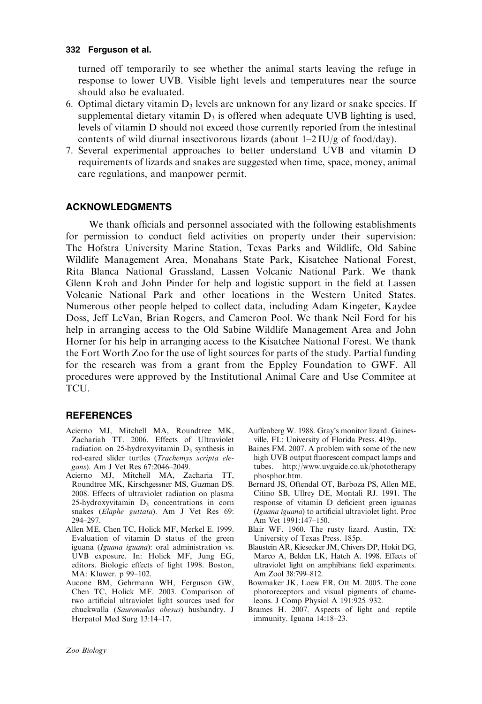turned off temporarily to see whether the animal starts leaving the refuge in response to lower UVB. Visible light levels and temperatures near the source should also be evaluated.

- 6. Optimal dietary vitamin  $D_3$  levels are unknown for any lizard or snake species. If supplemental dietary vitamin  $D_3$  is offered when adequate UVB lighting is used, levels of vitamin D should not exceed those currently reported from the intestinal contents of wild diurnal insectivorous lizards (about 1–2 IU/g of food/day).
- 7. Several experimental approaches to better understand UVB and vitamin D requirements of lizards and snakes are suggested when time, space, money, animal care regulations, and manpower permit.

## ACKNOWLEDGMENTS

We thank officials and personnel associated with the following establishments for permission to conduct field activities on property under their supervision: The Hofstra University Marine Station, Texas Parks and Wildlife, Old Sabine Wildlife Management Area, Monahans State Park, Kisatchee National Forest, Rita Blanca National Grassland, Lassen Volcanic National Park. We thank Glenn Kroh and John Pinder for help and logistic support in the field at Lassen Volcanic National Park and other locations in the Western United States. Numerous other people helped to collect data, including Adam Kingeter, Kaydee Doss, Jeff LeVan, Brian Rogers, and Cameron Pool. We thank Neil Ford for his help in arranging access to the Old Sabine Wildlife Management Area and John Horner for his help in arranging access to the Kisatchee National Forest. We thank the Fort Worth Zoo for the use of light sources for parts of the study. Partial funding for the research was from a grant from the Eppley Foundation to GWF. All procedures were approved by the Institutional Animal Care and Use Commitee at TCU.

## **REFERENCES**

- Acierno MJ, Mitchell MA, Roundtree MK, Zachariah TT. 2006. Effects of Ultraviolet radiation on 25-hydroxyvitamin  $D_3$  synthesis in red-eared slider turtles (Trachemys scripta elegans). Am J Vet Res 67:2046–2049.
- Acierno MJ, Mitchell MA, Zacharia TT, Roundtree MK, Kirschgessner MS, Guzman DS. 2008. Effects of ultraviolet radiation on plasma  $25$ -hydroxyvitamin  $D_3$  concentrations in corn snakes (Elaphe guttata). Am J Vet Res 69: 294–297.
- Allen ME, Chen TC, Holick MF, Merkel E. 1999. Evaluation of vitamin D status of the green iguana (Iguana iguana): oral administration vs. UVB exposure. In: Holick MF, Jung EG, editors. Biologic effects of light 1998. Boston, MA: Kluwer. p 99–102.
- Aucone BM, Gehrmann WH, Ferguson GW, Chen TC, Holick MF. 2003. Comparison of two artificial ultraviolet light sources used for chuckwalla (Sauromalus obesus) husbandry. J Herpatol Med Surg 13:14–17.
- Auffenberg W. 1988. Gray's monitor lizard. Gainesville, FL: University of Florida Press. 419p.
- Baines FM. 2007. A problem with some of the new high UVB output fluorescent compact lamps and tubes. http://www.uvguide.co.uk/phototherapy phosphor.htm.
- Bernard JS, Oftendal OT, Barboza PS, Allen ME, Citino SB, Ullrey DE, Montali RJ. 1991. The response of vitamin D deficient green iguanas (Iguana iguana) to artificial ultraviolet light. Proc Am Vet 1991:147–150.
- Blair WF. 1960. The rusty lizard. Austin, TX: University of Texas Press. 185p.
- Blaustein AR, Kiesecker JM, Chivers DP, Hokit DG, Marco A, Belden LK, Hatch A. 1998. Effects of ultraviolet light on amphibians: field experiments. Am Zool 38:799–812.
- Bowmaker JK, Loew ER, Ott M. 2005. The cone photoreceptors and visual pigments of chameleons. J Comp Physiol A 191:925–932.
- Brames H. 2007. Aspects of light and reptile immunity. Iguana 14:18–23.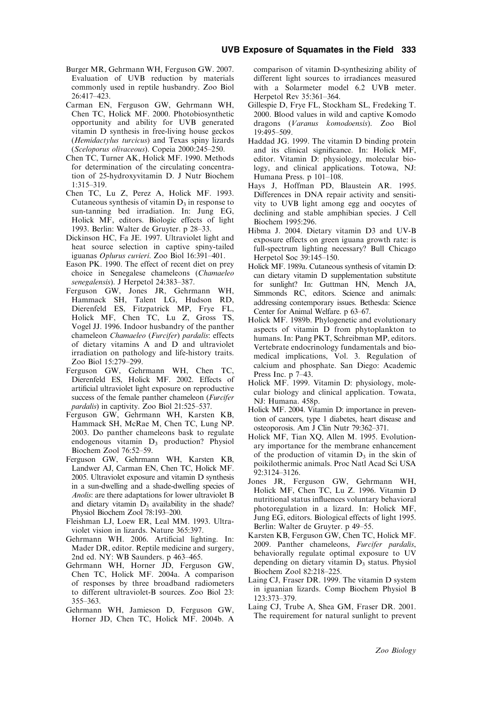- Burger MR, Gehrmann WH, Ferguson GW. 2007. Evaluation of UVB reduction by materials commonly used in reptile husbandry. Zoo Biol 26:417–423.
- Carman EN, Ferguson GW, Gehrmann WH, Chen TC, Holick MF. 2000. Photobiosynthetic opportunity and ability for UVB generated vitamin D synthesis in free-living house geckos (Hemidactylus turcicus) and Texas spiny lizards (Sceloporus olivaceous). Copeia 2000:245–250.
- Chen TC, Turner AK, Holick MF. 1990. Methods for determination of the circulating concentration of 25-hydroxyvitamin D. J Nutr Biochem 1:315–319.
- Chen TC, Lu Z, Perez A, Holick MF. 1993. Cutaneous synthesis of vitamin  $D_3$  in response to sun-tanning bed irradiation. In: Jung EG, Holick MF, editors. Biologic effects of light 1993. Berlin: Walter de Gruyter. p 28–33.
- Dickinson HC, Fa JE. 1997. Ultraviolet light and heat source selection in captive spiny-tailed iguanas Oplurus cuvieri. Zoo Biol 16:391–401.
- Eason PK. 1990. The effect of recent diet on prey choice in Senegalese chameleons (Chamaeleo senegalensis). J Herpetol 24:383–387.
- Ferguson GW, Jones JR, Gehrmann WH, Hammack SH, Talent LG, Hudson RD, Dierenfeld ES, Fitzpatrick MP, Frye FL, Holick MF, Chen TC, Lu Z, Gross TS, Vogel JJ. 1996. Indoor husbandry of the panther chameleon Chamaeleo (Furcifer) pardalis: effects of dietary vitamins A and D and ultraviolet irradiation on pathology and life-history traits. Zoo Biol 15:279–299.
- Ferguson GW, Gehrmann WH, Chen TC, Dierenfeld ES, Holick MF. 2002. Effects of artificial ultraviolet light exposure on reproductive success of the female panther chameleon (Furcifer pardalis) in captivity. Zoo Biol 21:525–537.
- Ferguson GW, Gehrmann WH, Karsten KB, Hammack SH, McRae M, Chen TC, Lung NP. 2003. Do panther chameleons bask to regulate endogenous vitamin D<sub>3</sub> production? Physiol Biochem Zool 76:52–59.
- Ferguson GW, Gehrmann WH, Karsten KB, Landwer AJ, Carman EN, Chen TC, Holick MF. 2005. Ultraviolet exposure and vitamin D synthesis in a sun-dwelling and a shade-dwelling species of Anolis: are there adaptations for lower ultraviolet B and dietary vitamin  $D_3$  availability in the shade? Physiol Biochem Zool 78:193–200.
- Fleishman LJ, Loew ER, Leal MM. 1993. Ultraviolet vision in lizards. Nature 365:397.
- Gehrmann WH. 2006. Artificial lighting. In: Mader DR, editor. Reptile medicine and surgery, 2nd ed. NY: WB Saunders. p 463–465.
- Gehrmann WH, Horner JD, Ferguson GW, Chen TC, Holick MF. 2004a. A comparison of responses by three broadband radiometers to different ultraviolet-B sources. Zoo Biol 23: 355–363.
- Gehrmann WH, Jamieson D, Ferguson GW, Horner JD, Chen TC, Holick MF. 2004b. A

comparison of vitamin D-synthesizing ability of different light sources to irradiances measured with a Solarmeter model 6.2 UVB meter. Herpetol Rev 35:361–364.

- Gillespie D, Frye FL, Stockham SL, Fredeking T. 2000. Blood values in wild and captive Komodo dragons (Varanus komodoensis). Zoo Biol 19:495–509.
- Haddad JG. 1999. The vitamin D binding protein and its clinical significance. In: Holick MF, editor. Vitamin D: physiology, molecular biology, and clinical applications. Totowa, NJ: Humana Press. p 101–108.
- Hays J, Hoffman PD, Blaustein AR. 1995. Differences in DNA repair activity and sensitivity to UVB light among egg and oocytes of declining and stable amphibian species. J Cell Biochem 1995:296.
- Hibma J. 2004. Dietary vitamin D3 and UV-B exposure effects on green iguana growth rate: is full-spectrum lighting necessary? Bull Chicago Herpetol Soc 39:145–150.
- Holick MF. 1989a. Cutaneous synthesis of vitamin D: can dietary vitamin D supplementation substitute for sunlight? In: Guttman HN, Mench JA, Simmonds RC, editors. Science and animals: addressing contemporary issues. Bethesda: Science Center for Animal Welfare. p 63–67.
- Holick MF. 1989b. Phylogenetic and evolutionary aspects of vitamin D from phytoplankton to humans. In: Pang PKT, Schreibman MP, editors. Vertebrate endocrinology fundamentals and biomedical implications, Vol. 3. Regulation of calcium and phosphate. San Diego: Academic Press Inc. p 7–43.
- Holick MF. 1999. Vitamin D: physiology, molecular biology and clinical application. Towata, NJ: Humana. 458p.
- Holick MF. 2004. Vitamin D: importance in prevention of cancers, type 1 diabetes, heart disease and osteoporosis. Am J Clin Nutr 79:362–371.
- Holick MF, Tian XQ, Allen M. 1995. Evolutionary importance for the membrane enhancement of the production of vitamin  $D_3$  in the skin of poikilothermic animals. Proc Natl Acad Sci USA 92:3124–3126.
- Jones JR, Ferguson GW, Gehrmann WH, Holick MF, Chen TC, Lu Z. 1996. Vitamin D nutritional status influences voluntary behavioral photoregulation in a lizard. In: Holick MF, Jung EG, editors. Biological effects of light 1995. Berlin: Walter de Gruyter. p 49–55.
- Karsten KB, Ferguson GW, Chen TC, Holick MF. 2009. Panther chameleons, Furcifer pardalis, behaviorally regulate optimal exposure to UV depending on dietary vitamin D<sub>3</sub> status. Physiol Biochem Zool 82:218–225.
- Laing CJ, Fraser DR. 1999. The vitamin D system in iguanian lizards. Comp Biochem Physiol B 123:373–379.
- Laing CJ, Trube A, Shea GM, Fraser DR. 2001. The requirement for natural sunlight to prevent